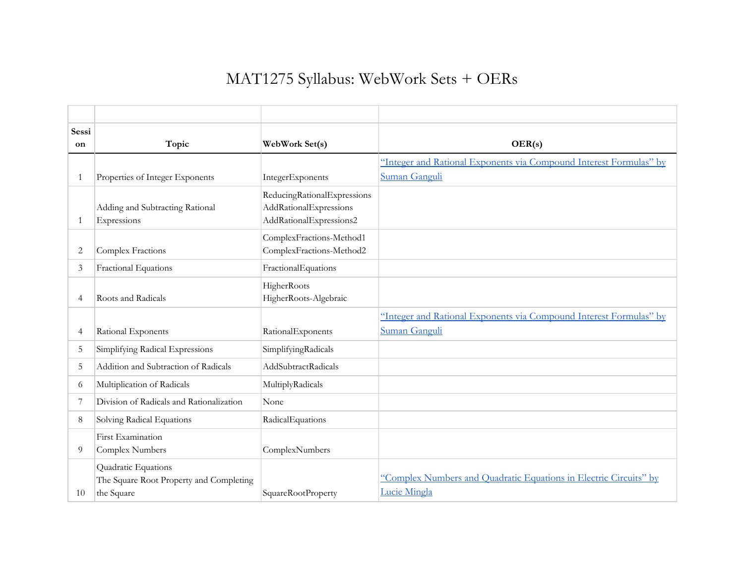## MAT1275 Syllabus: WebWork Sets + OERs

| Sessi          |                                                                              |                                                                                  |                                                                                   |
|----------------|------------------------------------------------------------------------------|----------------------------------------------------------------------------------|-----------------------------------------------------------------------------------|
| on             | Topic                                                                        | WebWork Set(s)                                                                   | OER(s)                                                                            |
|                |                                                                              |                                                                                  | "Integer and Rational Exponents via Compound Interest Formulas" by                |
| 1              | Properties of Integer Exponents                                              | IntegerExponents                                                                 | Suman Ganguli                                                                     |
| $\mathbf{1}$   | Adding and Subtracting Rational<br>Expressions                               | ReducingRationalExpressions<br>AddRationalExpressions<br>AddRationalExpressions2 |                                                                                   |
| 2              | Complex Fractions                                                            | ComplexFractions-Method1<br>ComplexFractions-Method2                             |                                                                                   |
| 3              | Fractional Equations                                                         | FractionalEquations                                                              |                                                                                   |
| $\overline{4}$ | Roots and Radicals                                                           | HigherRoots<br>HigherRoots-Algebraic                                             |                                                                                   |
|                |                                                                              |                                                                                  | "Integer and Rational Exponents via Compound Interest Formulas" by                |
| 4              | Rational Exponents                                                           | RationalExponents                                                                | Suman Ganguli                                                                     |
| 5              | Simplifying Radical Expressions                                              | SimplifyingRadicals                                                              |                                                                                   |
| 5              | Addition and Subtraction of Radicals                                         | AddSubtractRadicals                                                              |                                                                                   |
| 6              | Multiplication of Radicals                                                   | MultiplyRadicals                                                                 |                                                                                   |
| 7              | Division of Radicals and Rationalization                                     | None                                                                             |                                                                                   |
| 8              | Solving Radical Equations                                                    | RadicalEquations                                                                 |                                                                                   |
| 9              | First Examination<br>Complex Numbers                                         | ComplexNumbers                                                                   |                                                                                   |
| 10             | Quadratic Equations<br>The Square Root Property and Completing<br>the Square | SquareRootProperty                                                               | "Complex Numbers and Quadratic Equations in Electric Circuits" by<br>Lucie Mingla |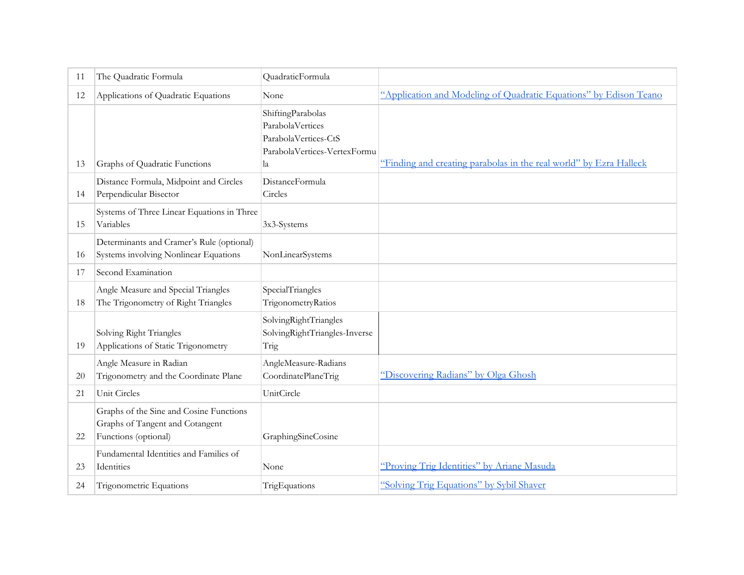| 11 | The Quadratic Formula                                                                              | QuadraticFormula                                                                                    |                                                                    |
|----|----------------------------------------------------------------------------------------------------|-----------------------------------------------------------------------------------------------------|--------------------------------------------------------------------|
| 12 | Applications of Quadratic Equations                                                                | None                                                                                                | "Application and Modeling of Quadratic Equations" by Edison Teano  |
| 13 | Graphs of Quadratic Functions                                                                      | ShiftingParabolas<br>ParabolaVertices<br>ParabolaVertices-CtS<br>ParabolaVertices-VertexFormu<br>la | "Finding and creating parabolas in the real world" by Ezra Halleck |
| 14 | Distance Formula, Midpoint and Circles<br>Perpendicular Bisector                                   | DistanceFormula<br>Circles                                                                          |                                                                    |
| 15 | Systems of Three Linear Equations in Three<br>Variables                                            | 3x3-Systems                                                                                         |                                                                    |
| 16 | Determinants and Cramer's Rule (optional)<br>Systems involving Nonlinear Equations                 | NonLinearSystems                                                                                    |                                                                    |
| 17 | Second Examination                                                                                 |                                                                                                     |                                                                    |
| 18 | Angle Measure and Special Triangles<br>The Trigonometry of Right Triangles                         | SpecialTriangles<br>TrigonometryRatios                                                              |                                                                    |
| 19 | Solving Right Triangles<br>Applications of Static Trigonometry                                     | SolvingRightTriangles<br>SolvingRightTriangles-Inverse<br>Trig                                      |                                                                    |
| 20 | Angle Measure in Radian<br>Trigonometry and the Coordinate Plane                                   | AngleMeasure-Radians<br>CoordinatePlaneTrig                                                         | "Discovering Radians" by Olga Ghosh                                |
| 21 | Unit Circles                                                                                       | UnitCircle                                                                                          |                                                                    |
| 22 | Graphs of the Sine and Cosine Functions<br>Graphs of Tangent and Cotangent<br>Functions (optional) | GraphingSineCosine                                                                                  |                                                                    |
| 23 | Fundamental Identities and Families of<br>Identities                                               | None                                                                                                | "Proving Trig Identities" by Ariane Masuda                         |
| 24 | Trigonometric Equations                                                                            | TrigEquations                                                                                       | "Solving Trig Equations" by Sybil Shaver                           |